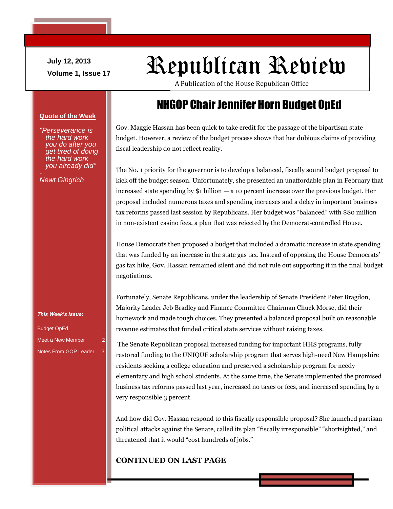**July 12, 2013**

# July 12, 2013<br>Volume 1, Issue 17<br>Volume 1, Issue 17

A Publication of the House Republican Office

## NHGOP Chair Jennifer Horn Budget OpEd

Gov. Maggie Hassan has been quick to take credit for the passage of the bipartisan state budget. However, a review of the budget process shows that her dubious claims of providing fiscal leadership do not reflect reality.

The No. 1 priority for the governor is to develop a balanced, fiscally sound budget proposal to kick off the budget season. Unfortunately, she presented an unaffordable plan in February that increased state spending by \$1 billion — a 10 percent increase over the previous budget. Her proposal included numerous taxes and spending increases and a delay in important business tax reforms passed last session by Republicans. Her budget was "balanced" with \$80 million in non-existent casino fees, a plan that was rejected by the Democrat-controlled House.

House Democrats then proposed a budget that included a dramatic increase in state spending that was funded by an increase in the state gas tax. Instead of opposing the House Democrats' gas tax hike, Gov. Hassan remained silent and did not rule out supporting it in the final budget negotiations.

Fortunately, Senate Republicans, under the leadership of Senate President Peter Bragdon, Majority Leader Jeb Bradley and Finance Committee Chairman Chuck Morse, did their homework and made tough choices. They presented a balanced proposal built on reasonable revenue estimates that funded critical state services without raising taxes.

The Senate Republican proposal increased funding for important HHS programs, fully restored funding to the UNIQUE scholarship program that serves high-need New Hampshire residents seeking a college education and preserved a scholarship program for needy elementary and high school students. At the same time, the Senate implemented the promised business tax reforms passed last year, increased no taxes or fees, and increased spending by a very responsible 3 percent.

And how did Gov. Hassan respond to this fiscally responsible proposal? She launched partisan political attacks against the Senate, called its plan "fiscally irresponsible" "shortsighted," and threatened that it would "cost hundreds of jobs."

#### **CONTINUED ON LAST PAGE**

**Quote of the Week**

*"Perseverance is the hard work you do after you get tired of doing the hard work you already did"*

*Newt Gingrich*

*This Week's Issue:*

Budget OpEd 1 Meet a New Member Notes From GOP Leader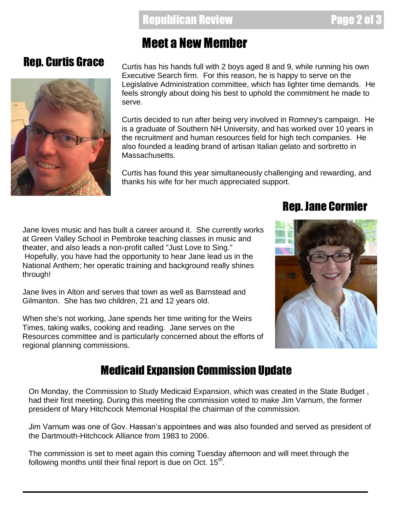#### Rep. Curtis Grace

## Meet a New Member

Curtis has his hands full with 2 boys aged 8 and 9, while running his own Executive Search firm. For this reason, he is happy to serve on the Legislative Administration committee, which has lighter time demands. He feels strongly about doing his best to uphold the commitment he made to serve.

Curtis decided to run after being very involved in Romney's campaign. He is a graduate of Southern NH University, and has worked over 10 years in the recruitment and human resources field for high tech companies. He also founded a leading brand of artisan Italian gelato and sorbretto in Massachusetts.

Curtis has found this year simultaneously challenging and rewarding, and thanks his wife for her much appreciated support.

Jane loves music and has built a career around it. She currently works at Green Valley School in Pembroke teaching classes in music and theater, and also leads a non-profit called "Just Love to Sing." Hopefully, you have had the opportunity to hear Jane lead us in the National Anthem; her operatic training and background really shines through!

Jane lives in Alton and serves that town as well as Barnstead and Gilmanton. She has two children, 21 and 12 years old.

When she's not working, Jane spends her time writing for the Weirs Times, taking walks, cooking and reading. Jane serves on the Resources committee and is particularly concerned about the efforts of regional planning commissions.

# Rep. Jane Cormier



#### Medicaid Expansion Commission Update

On Monday, the Commission to Study Medicaid Expansion, which was created in the State Budget , had their first meeting. During this meeting the commission voted to make Jim Varnum, the former president of Mary Hitchcock Memorial Hospital the chairman of the commission.

Jim Varnum was one of Gov. Hassan's appointees and was also founded and served as president of the Dartmouth-Hitchcock Alliance from 1983 to 2006.

The commission is set to meet again this coming Tuesday afternoon and will meet through the following months until their final report is due on Oct.  $15^{\text{th}}$ .